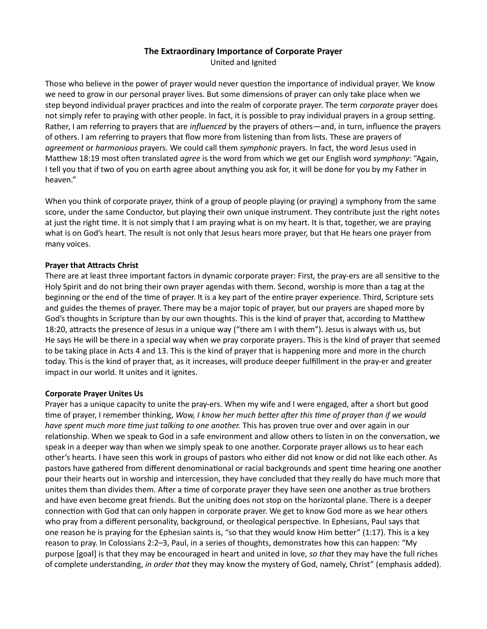# The Extraordinary Importance of Corporate Prayer

United and Ignited

Those who believe in the power of prayer would never question the importance of individual prayer. We know we need to grow in our personal prayer lives. But some dimensions of prayer can only take place when we step beyond individual prayer practices and into the realm of corporate prayer. The term corporate prayer does not simply refer to praying with other people. In fact, it is possible to pray individual prayers in a group setting. Rather, I am referring to prayers that are influenced by the prayers of others—and, in turn, influence the prayers of others. I am referring to prayers that flow more from listening than from lists. These are prayers of agreement or harmonious prayers. We could call them symphonic prayers. In fact, the word Jesus used in Matthew 18:19 most often translated *agree* is the word from which we get our English word symphony: "Again, I tell you that if two of you on earth agree about anything you ask for, it will be done for you by my Father in heaven."

When you think of corporate prayer, think of a group of people playing (or praying) a symphony from the same score, under the same Conductor, but playing their own unique instrument. They contribute just the right notes at just the right time. It is not simply that I am praying what is on my heart. It is that, together, we are praying what is on God's heart. The result is not only that Jesus hears more prayer, but that He hears one prayer from many voices.

### Prayer that Attracts Christ

There are at least three important factors in dynamic corporate prayer: First, the pray-ers are all sensitive to the Holy Spirit and do not bring their own prayer agendas with them. Second, worship is more than a tag at the beginning or the end of the time of prayer. It is a key part of the entire prayer experience. Third, Scripture sets and guides the themes of prayer. There may be a major topic of prayer, but our prayers are shaped more by God's thoughts in Scripture than by our own thoughts. This is the kind of prayer that, according to Matthew 18:20, attracts the presence of Jesus in a unique way ("there am I with them"). Jesus is always with us, but He says He will be there in a special way when we pray corporate prayers. This is the kind of prayer that seemed to be taking place in Acts 4 and 13. This is the kind of prayer that is happening more and more in the church today. This is the kind of prayer that, as it increases, will produce deeper fulfillment in the pray-er and greater impact in our world. It unites and it ignites.

### Corporate Prayer Unites Us

Prayer has a unique capacity to unite the pray-ers. When my wife and I were engaged, after a short but good time of prayer, I remember thinking, Wow, I know her much better after this time of prayer than if we would have spent much more time just talking to one another. This has proven true over and over again in our relationship. When we speak to God in a safe environment and allow others to listen in on the conversation, we speak in a deeper way than when we simply speak to one another. Corporate prayer allows us to hear each other's hearts. I have seen this work in groups of pastors who either did not know or did not like each other. As pastors have gathered from different denominational or racial backgrounds and spent time hearing one another pour their hearts out in worship and intercession, they have concluded that they really do have much more that unites them than divides them. After a time of corporate prayer they have seen one another as true brothers and have even become great friends. But the uniting does not stop on the horizontal plane. There is a deeper connection with God that can only happen in corporate prayer. We get to know God more as we hear others who pray from a different personality, background, or theological perspective. In Ephesians, Paul says that one reason he is praying for the Ephesian saints is, "so that they would know Him better" (1:17). This is a key reason to pray. In Colossians 2:2–3, Paul, in a series of thoughts, demonstrates how this can happen: "My purpose [goal] is that they may be encouraged in heart and united in love, so that they may have the full riches of complete understanding, in order that they may know the mystery of God, namely, Christ" (emphasis added).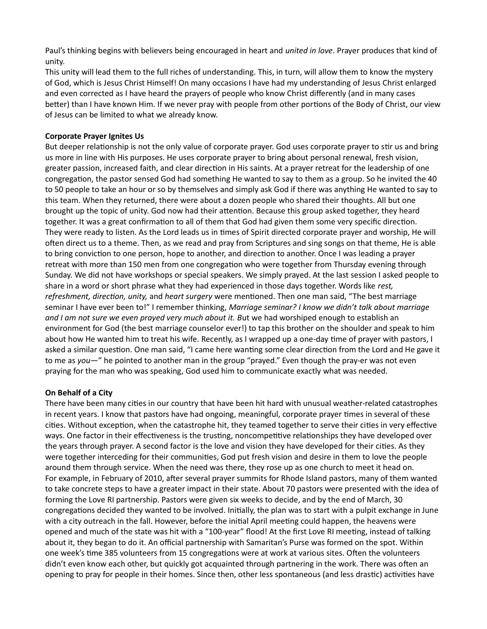Paul's thinking begins with believers being encouraged in heart and *united in love*. Prayer produces that kind of unity.

This unity will lead them to the full riches of understanding. This, in turn, will allow them to know the mystery of God, which is Jesus Christ Himself! On many occasions I have had my understanding of Jesus Christ enlarged and even corrected as I have heard the prayers of people who know Christ differently (and in many cases better) than I have known Him. If we never pray with people from other portions of the Body of Christ, our view of Jesus can be limited to what we already know.

## Corporate Prayer Ignites Us

But deeper relationship is not the only value of corporate prayer. God uses corporate prayer to stir us and bring us more in line with His purposes. He uses corporate prayer to bring about personal renewal, fresh vision, greater passion, increased faith, and clear direction in His saints. At a prayer retreat for the leadership of one congregation, the pastor sensed God had something He wanted to say to them as a group. So he invited the 40 to 50 people to take an hour or so by themselves and simply ask God if there was anything He wanted to say to this team. When they returned, there were about a dozen people who shared their thoughts. All but one brought up the topic of unity. God now had their attention. Because this group asked together, they heard together. It was a great confirmation to all of them that God had given them some very specific direction. They were ready to listen. As the Lord leads us in times of Spirit directed corporate prayer and worship, He will often direct us to a theme. Then, as we read and pray from Scriptures and sing songs on that theme, He is able to bring conviction to one person, hope to another, and direction to another. Once I was leading a prayer retreat with more than 150 men from one congregation who were together from Thursday evening through Sunday. We did not have workshops or special speakers. We simply prayed. At the last session I asked people to share in a word or short phrase what they had experienced in those days together. Words like rest, refreshment, direction, unity, and heart surgery were mentioned. Then one man said, "The best marriage seminar I have ever been to!" I remember thinking, Marriage seminar? I know we didn't talk about marriage and I am not sure we even prayed very much about it. But we had worshiped enough to establish an environment for God (the best marriage counselor ever!) to tap this brother on the shoulder and speak to him about how He wanted him to treat his wife. Recently, as I wrapped up a one-day time of prayer with pastors, I asked a similar question. One man said, "I came here wanting some clear direction from the Lord and He gave it to me as you—" he pointed to another man in the group "prayed." Even though the pray-er was not even praying for the man who was speaking, God used him to communicate exactly what was needed.

# On Behalf of a City

There have been many cities in our country that have been hit hard with unusual weather-related catastrophes in recent years. I know that pastors have had ongoing, meaningful, corporate prayer times in several of these cities. Without exception, when the catastrophe hit, they teamed together to serve their cities in very effective ways. One factor in their effectiveness is the trusting, noncompetitive relationships they have developed over the years through prayer. A second factor is the love and vision they have developed for their cities. As they were together interceding for their communities, God put fresh vision and desire in them to love the people around them through service. When the need was there, they rose up as one church to meet it head on. For example, in February of 2010, after several prayer summits for Rhode Island pastors, many of them wanted to take concrete steps to have a greater impact in their state. About 70 pastors were presented with the idea of forming the Love RI partnership. Pastors were given six weeks to decide, and by the end of March, 30 congregations decided they wanted to be involved. Initially, the plan was to start with a pulpit exchange in June with a city outreach in the fall. However, before the initial April meeting could happen, the heavens were opened and much of the state was hit with a "100-year" flood! At the first Love RI meeting, instead of talking about it, they began to do it. An official partnership with Samaritan's Purse was formed on the spot. Within one week's time 385 volunteers from 15 congregations were at work at various sites. Often the volunteers didn't even know each other, but quickly got acquainted through partnering in the work. There was often an opening to pray for people in their homes. Since then, other less spontaneous (and less drastic) activities have